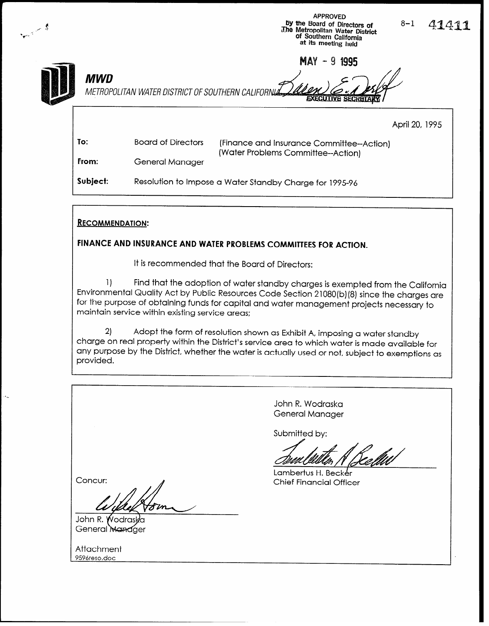|            |                           | APPROVED<br>by the Board of Directors of<br>The Metropolitan Water District<br>of Southern California<br>at its meeting held | $8 - 1$        | 41411 |
|------------|---------------------------|------------------------------------------------------------------------------------------------------------------------------|----------------|-------|
| <b>MWD</b> |                           | <b>MAY</b><br>$-9$ 1995<br>METROPOLITAN WATER DISTRICT OF SOUTHERN CALIFORNIA 144<br><b>EXECUTIVE SECRETARY</b>              |                |       |
|            |                           |                                                                                                                              | April 20, 1995 |       |
| To:        | <b>Board of Directors</b> | (Finance and Insurance Committee--Action)<br>(Water Problems Committee--Action)                                              |                |       |

From: General Manager

Subject: Resolution to Impose a Water Standby Charge for 1995-96

### RECOMMENDATION:

### FINANCE AND INSURANCE AND WATER PROBLEMS COMMITTEES FOR ACTION.

It is recommended that the Board of Directors:

1) Find that the adoption of water standby charges is exempted from the California Environmental Quality Act by Public Resources Code Section 21080(b) (8) since the charges are for the purpose of obtaining funds for capital and water management projects necessary to maintain service within existing service areas:

 $\overline{\phantom{a}}$ charge on real property within the District's service area to which water is made available for Adopt the form of resolution shown as Exhibit A, imposing a water standby any purpose by the District, whether the water is actually used or not, subject to exemptions as provided.

> John R. Wodraska General Manager

Submitted by:

Lambertus H. Becker Chief Financial Officer

Concur:

 $\frac{\mu}{\mu}$ 

General Manager

Attuchment <u>73761630.do</u>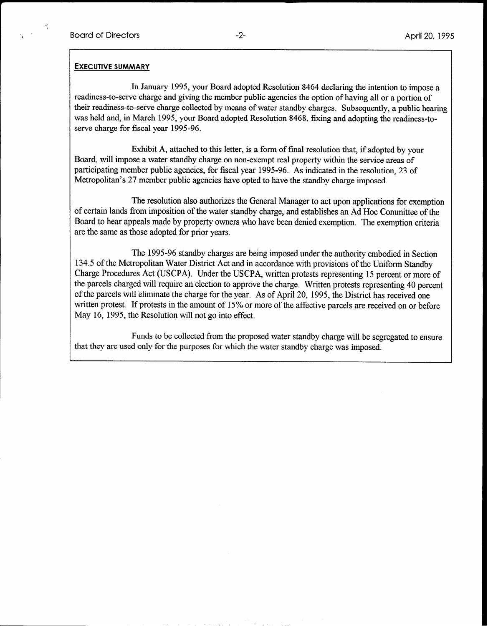#### EXECUTIVE SUMMARY

In January 1995, your Board adopted Resolution 8464 declaring the intention to impose a readiness-to-serve charge and giving the member public agencies the option of having all or a portion of their readiness-to-serve charge collected by means of water standby charges. Subsequently, a public hearing was held and, in March 1995, your Board adopted Resolution 8468, fixing and adopting the readiness-toserve charge for fiscal year 1995 -96.

Exhibit A, attached to this letter, is a form of final resolution that, if adopted by your Board, will impose a water standby charge on non-exempt real property within the service areas of participating member public agencies, for fiscal year 1995-96. As indicated in the resolution, 23 of Metropolitan's 27 member public agencies have opted to have the standby charge imposed.

The resolution also authorizes the General Manager to act upon applications for exemption of certain lands from imposition of the water standby charge, and establishes an Ad Hoc Committee of the Board to hear appeals made by property owners who have been denied exemption. The exemption criteria are the same as those adopted for prior years.

The 1995-96 standby charges are being imposed under the authority embodied in Section 134.5 of the Metropolitan Water District Act and in accordance with provisions of the Uniform Standby Charge Procedures Act (USCPA). Under the USCPA, written protests representing 15 percent or more of the parcels charged will require an election to approve the charge. Written protests representing 40 percent of the parcels will eliminate the charge for the year. As of April 20, 1995, the District has received one written protest. If protests in the amount of 15% or more of the affective parcels are received on or before May 16, 1995, the Resolution will not go into effect.

Funds to be collected from the proposed water standby charge will be segregated to ensure that they are used only for the purposes for which the water standby charge was imposed.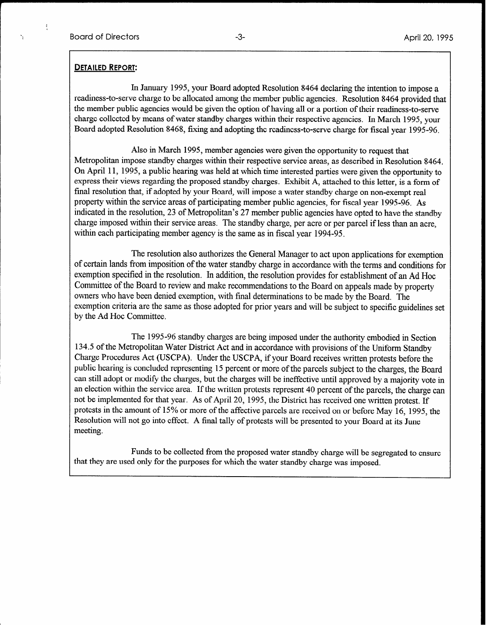#### DETAILED REPORT:

In January 1995, your Board adopted Resolution 8464 declaring the intention to impose a readiness-to-serve charge to be allocated among the member public agencies. Resolution 8464 provided that the member public agencies would be given the option of having all or a portion of their readiness-to-serve charge collected by means of water standby charges within their respective agencies. In March 1995, your Board adopted Resolution 8468, fixing and adopting the readiness-to-serve charge for fiscal year 1995-96.

Also in March 1995, member agencies were given the opportunity to request that Metropolitan impose standby charges within their respective service areas, as described in Resolution 8464. On April 11, 1995, a public hearing was held at which time interested parties were given the opportunity to express their views regarding the proposed standby charges. Exhibit A, attached to this letter, is a form of final resolution that, if adopted by your Board, will impose a water standby charge on non-exempt real property within the service areas of participating member public agencies, for fiscal year 1995-96. As indicated in the resolution, 23 of Metropolitan's 27 member public agencies have opted to have the standby charge imposed within their service areas. The standby charge, per acre or per parcel if less than an acre, within each participating member agency is the same as in fiscal year 1994-95.

The resolution also authorizes the General Manager to act upon applications for exemption of certain lands from imposition of the water standby charge in accordance with the terms and conditions for exemption specified in the resolution. In addition, the resolution provides for establishment of an Ad Hoc Committee of the Board to review and make recommendations to the Board on appeals made by property owners who have been denied exemption, with final determinations to be made by the Board. The exemption criteria are the same as those adopted for prior years and will be subject to specific guidelines set by the Ad Hoc Committee.

The 1995-96 standby charges are being imposed under the authority embodied in Section 134.5 of the Metropolitan Water District Act and in accordance with provisions of the Uniform Standby Charge Procedures Act (USCPA). Under the USCPA, if your Board receives written protests before the public hearing is concluded representing 15 percent or more of the parcels subject to the charges, the Board can still adopt or modify the charges, but the charges will be ineffective until approved by a majority vote in an election within the service area. If the written protests represent 40 percent of the parcels, the charge can not be implemented for that year. As of April 20, 1995, the District has received one written protest. If protests in the amount of 15% or more of the affective parcels are received on or before May 16, 1995, the Resolution will not go into effect. A final tally of protests will be presented to your Board at its June meeting.

Funds to be collected from the proposed water standby charge will be segregated to ensure that they are used only for the purposes for which the water standby charge was imposed.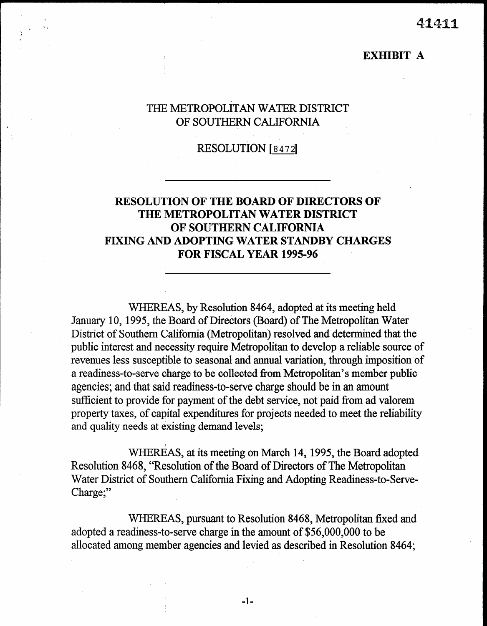41411

### EXHIBIT A

# THE METROPOLITAN WATER DISTRICT OF SOUTHERN CALIFORNIA

## RESOLUTION [8472]

# RESOLUTION OF THE BOARD OF DIRECTORS OF THE METROPOLITAN WATER DISTRICT OF SOUTHERN CALIFORNIA FIXING AND ADOPTING WATER STANDBY CHARGES FOR FISCAL YEAR 1995-96

WHEREAS, by Resolution 8464, adopted at its meeting held January 10, 1995, the Board of Directors (Board) of The Metropolitan Water District of Southern California (Metropolitan) resolved and determined that the public interest and necessity require Metropolitan to develop a reliable source of revenues less susceptible to seasonal and annual variation, through imposition of a readiness-to-serve charge to be collected from Metropolitan's member public agencies; and that said readiness-to-serve charge should be in an amount sufficient to provide for payment of the debt service, not paid from ad valorem property taxes, of capital expenditures for projects needed to meet the reliability and quality needs at existing demand levels;

WHEREAS, at its meeting on March 14,1995, the Board adopted Resolution 8468, "Resolution of the Board of Directors of The Metropolitan Water District of Southern California Fixing and Adopting Reading  $R$  Reading  $R$  and  $R$  $\alpha$   $\alpha$   $\beta$ 

 $W$ adopted a reading a reading a reading of the amount of  $\frac{1}{2}$  to be a reading to be a reading of  $\frac{5656,000,000}{2}$  to be a reading to be a reading to be a reading to be a reading to be a reading to be a reading to be adopted a readiness-to-serve charge in the amount of \$56,000,000 to be allocated among member agencies and levied as described in Resolution 8464;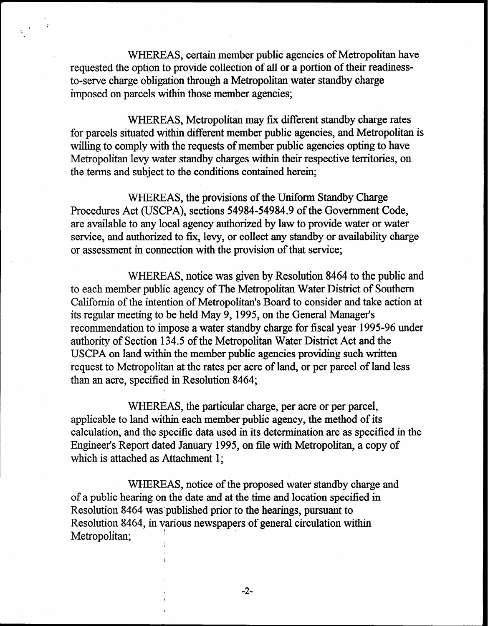WHEREAS, certain member public agencies of Metropolitan have requested the option to provide collection of all or a portion of their readinessto-serve charge obligation through a Metropolitan water standby charge imposed on parcels within those member agencies;

WHEREAS, Metropolitan may fix different standby charge rates for parcels situated within different member public agencies, and Metropolitan is willing to comply with the requests of member public agencies opting to have Metropolitan levy water standby charges within their respective territories, on the terms and subject to the conditions contained herein;

WHEREAS, the provisions of the Uniform Standby Charge Procedures Act (USCPA), sections 54984-54984.9 of the Government Code, are available to any local agency authorized by law to provide water or water service, and authorized to fix, levy, or collect any standby or availability charge or assessment in connection with the provision of that service;

WHEREAS, notice was given by Resolution 8464 to the public and to each member public agency of The Metropolitan Water District of Southern California of the intention of Metropolitan's Board to consider and take action at its regular meeting to be held May 9, 1995, on the General Manager's recommendation to impose a water standby charge for fiscal year 1995-96 under authority of Section 134.5 of the Metropolitan Water District Act and the USCPA on land within the member public agencies providing such written request to Metropolitan at the rates per acre of land, or per parcel of land less than an acre, specified in Resolution 8464;

WHEREAS, the particular charge, per acre or per parcel, applicable to land within each member public agency, the method of its calculation, and the specific data used in its determination are as specified in the Engineer's Report dated January 1995, on file with Metropolitan, a copy of which is attached as Attachment 1;

WHEREAS, notice of the proposed water standby charge and of a public hearing on the date and at the time and location specified in Resolution 8464 was'published prior to the hearings, pursuant to Resolution 8464, in various newspapers of general circulation within Metropolitan;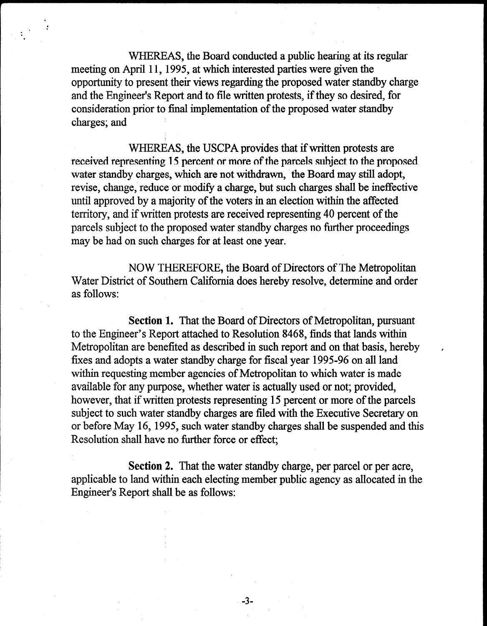WHEREAS, the Board conducted a public hearing at its regular meeting on April 11, 1995, at which interested parties were given the opportunity to present their views regarding the proposed water standby charge and the Engineer's Report and to file written protests, if they so desired, for consideration prior to final implementation of the proposed water standby charges; and

i<br>I

**i** :

. .

> WHEREAS, the USCPA provides that if written protests are received representing 15 percent or more of the parcels subject to the proposed water standby charges, which are not withdrawn, the Board may still adopt, revise, change, reduce or modify a charge, but such charges shall be ineffective until approved by a majority of the voters in an election within the affected territory, and if written protests are received representing 40 percent of the parcels subject to the proposed water standby charges no further proceedings may be had on such charges for at least one year.

> NOW THEREFORE, the Board of Directors of The Metropolitan Water District of Southern California does hereby resolve, determine and order as follows:

Section 1. That the Board of Directors of Metropolitan, pursuant to the Engineer's Report attached to Resolution 8468, finds that lands within Metropolitan are benefited as described in such report and on that basis, hereby , fixes and adopts a water standby charge for fiscal year 1995-96 on all land within requesting member agencies of Metropolitan to which water is made available for any purpose, whether water is actually used or not; provided, however, that if written protests representing 15 percent or more of the parcels subject to such water standby charges are fled with the Executive Secretary on or before May 16,1995, such water standby charges shall be suspended and this Resolution shall have no further force or effect;

Section 2. That the water standby charge, per parcel or per acre,  $\alpha$  inature water stand y enalge, per pareci or per acre, applicable to fail within each electrifigure

-3-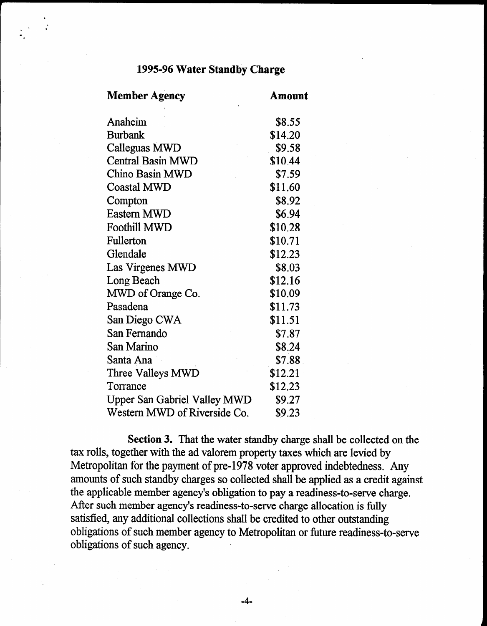# 1995-96 Water Standby Charge

| <b>Member Agency</b>                | Amount  |  |
|-------------------------------------|---------|--|
| Anaheim                             | \$8.55  |  |
| <b>Burbank</b>                      | \$14.20 |  |
| Calleguas MWD                       | \$9.58  |  |
| <b>Central Basin MWD</b>            | \$10.44 |  |
| Chino Basin MWD                     | \$7.59  |  |
| <b>Coastal MWD</b>                  | \$11.60 |  |
| Compton                             | \$8.92  |  |
| <b>Eastern MWD</b>                  | \$6.94  |  |
| <b>Foothill MWD</b>                 | \$10.28 |  |
| Fullerton                           | \$10.71 |  |
| Glendale                            | \$12.23 |  |
| Las Virgenes MWD                    | \$8.03  |  |
| Long Beach                          | \$12.16 |  |
| MWD of Orange Co.                   | \$10.09 |  |
| Pasadena                            | \$11.73 |  |
| San Diego CWA                       | \$11.51 |  |
| San Fernando                        | \$7.87  |  |
| San Marino                          | \$8.24  |  |
| Santa Ana                           | \$7.88  |  |
| Three Valleys MWD                   | \$12.21 |  |
| Torrance                            | \$12.23 |  |
| <b>Upper San Gabriel Valley MWD</b> | \$9.27  |  |
| Western MWD of Riverside Co.        | \$9.23  |  |

Section 3. That the water standby charge shall be collected on the  $t_{\text{t}}$  rolls, together with the additional valor station y unarge shall be concerned by da rons, together with the au valorem property taxes which are review by  $\alpha$  charges so collected standard standard standard standard standard shall be a control be a control of  $\alpha$  called a credit against a control of  $\alpha$  called a control of  $\alpha$  called a control of  $\alpha$  called a control o amounts of such standary charges so conected shall be applied as a credit again. the applicable member agency's obligation to pay a readiness-to-serve charge. After such member agency's readiness-to-serve charge allocation is fully satisfied, any additional collections shall be credited to other outstanding  $\frac{1}{2}$ sausiteu, any aduttional conections shall be credited to other outstanding obligations of such member a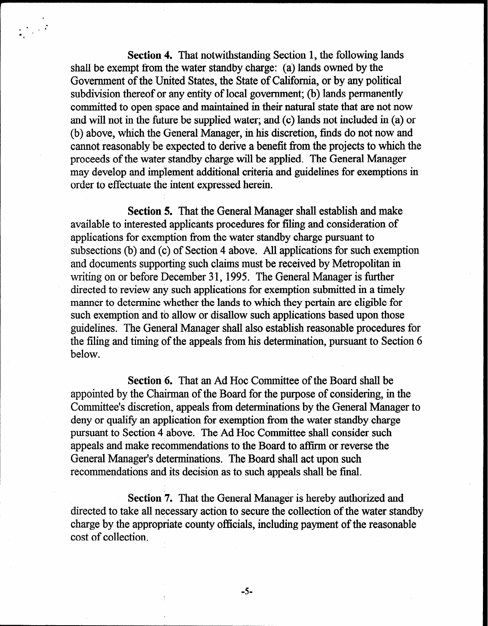Section 4. That notwithstanding Section 1, the following lands shall be exempt from the water standby charge: (a) lands owned by the Government of the United States, the State of California, or by any political subdivision thereof or any entity of local government; (b) lands permanently committed to open space and maintained in their natural state that are not now and will not in the future be supplied water; and (c) lands not included in (a) or (b) above, which the General Manager, in his discretion, finds do not now and cannot reasonably'be expected to derive a benefit from the projects to which the proceeds of the water standby charge will be applied. The General Manager may develop and implement additional criteria and guidelines for exemptions in order to effectuate the intent expressed herein.

Section 5. That the General Manager shall establish and make available to interested applicants procedures for filing and consideration of applications for exemption from the water standby charge pursuant to subsections (b) and (c) of Section 4 above. All applications for such exemption and documents supporting such claims must be received by Metropolitan in writing on or before December 31, 1995. The General Manager is further directed to review any such applications for exemption submitted in a timely manner to determine whether the lands to which they pertain are eligible for such exemption and to allow or disallow such applications based upon those guidelines. The General Manager shall also establish reasonable procedures for the filing and timing of the appeals from his determination, pursuant to Section 6 below.

Section 6. That an Ad Hoc Committee of the Board shall be appointed by the Chairman of the Board for the purpose of considering, in the Committee's discretion, appeals from determinations by the General Manager to deny or qualify an application for exemption from the water standby charge pursuant to Section 4 above. The Ad Hoc Committee shall consider such appeals and make recommendations to the Board to affirm or reverse the General Manager's determinations. The Board shall act upon such recommendations and its decision as to such appeals shall be final.

Section 7. That the General Manager is hereby authorized and directed to take all necessary action to secure the collection of the water standby charge by the appropriate county officials, including payment of the reasonable cost of collection.

 $-5-$